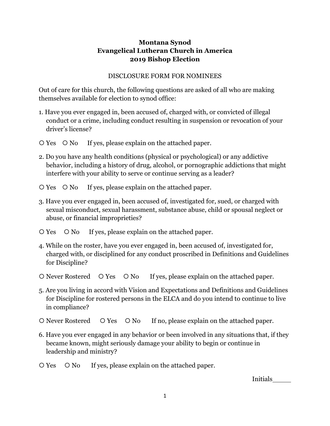## **Montana Synod Evangelical Lutheran Church in America 2019 Bishop Election**

## DISCLOSURE FORM FOR NOMINEES

Out of care for this church, the following questions are asked of all who are making themselves available for election to synod office:

- 1. Have you ever engaged in, been accused of, charged with, or convicted of illegal conduct or a crime, including conduct resulting in suspension or revocation of your driver's license?
- $\overline{O}$  Yes  $\overline{O}$  No If yes, please explain on the attached paper.
- 2. Do you have any health conditions (physical or psychological) or any addictive behavior, including a history of drug, alcohol, or pornographic addictions that might interfere with your ability to serve or continue serving as a leader?
- $\overline{O}$  Yes  $\overline{O}$  No If yes, please explain on the attached paper.
- 3. Have you ever engaged in, been accused of, investigated for, sued, or charged with sexual misconduct, sexual harassment, substance abuse, child or spousal neglect or abuse, or financial improprieties?
- $\overline{O}$  Yes  $\overline{O}$  No If yes, please explain on the attached paper.
- 4. While on the roster, have you ever engaged in, been accused of, investigated for, charged with, or disciplined for any conduct proscribed in Definitions and Guidelines for Discipline?
- O Never Rostered O Yes O No If yes, please explain on the attached paper.
- 5. Are you living in accord with Vision and Expectations and Definitions and Guidelines for Discipline for rostered persons in the ELCA and do you intend to continue to live in compliance?
- O Never Rostered O Yes O No If no, please explain on the attached paper.
- 6. Have you ever engaged in any behavior or been involved in any situations that, if they became known, might seriously damage your ability to begin or continue in leadership and ministry?
- O Yes O No If yes, please explain on the attached paper.

Initials